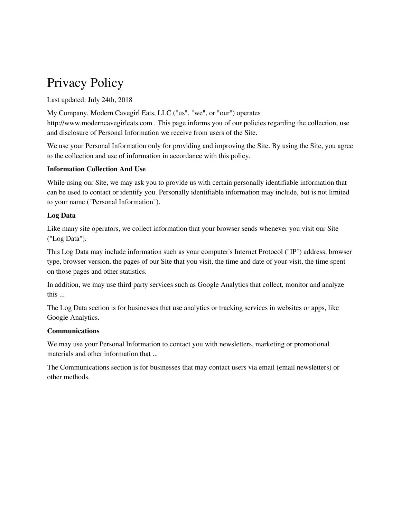# Privacy Policy

Last updated: July 24th, 2018

My Company, Modern Cavegirl Eats, LLC ("us", "we", or "our") operates http://www.moderncavegirleats.com . This page informs you of our policies regarding the collection, use and disclosure of Personal Information we receive from users of the Site.

We use your Personal Information only for providing and improving the Site. By using the Site, you agree to the collection and use of information in accordance with this policy.

# **Information Collection And Use**

While using our Site, we may ask you to provide us with certain personally identifiable information that can be used to contact or identify you. Personally identifiable information may include, but is not limited to your name ("Personal Information").

# **Log Data**

Like many site operators, we collect information that your browser sends whenever you visit our Site ("Log Data").

This Log Data may include information such as your computer's Internet Protocol ("IP") address, browser type, browser version, the pages of our Site that you visit, the time and date of your visit, the time spent on those pages and other statistics.

In addition, we may use third party services such as Google Analytics that collect, monitor and analyze this ...

The Log Data section is for businesses that use analytics or tracking services in websites or apps, like Google Analytics.

# **Communications**

We may use your Personal Information to contact you with newsletters, marketing or promotional materials and other information that ...

The Communications section is for businesses that may contact users via email (email newsletters) or other methods.